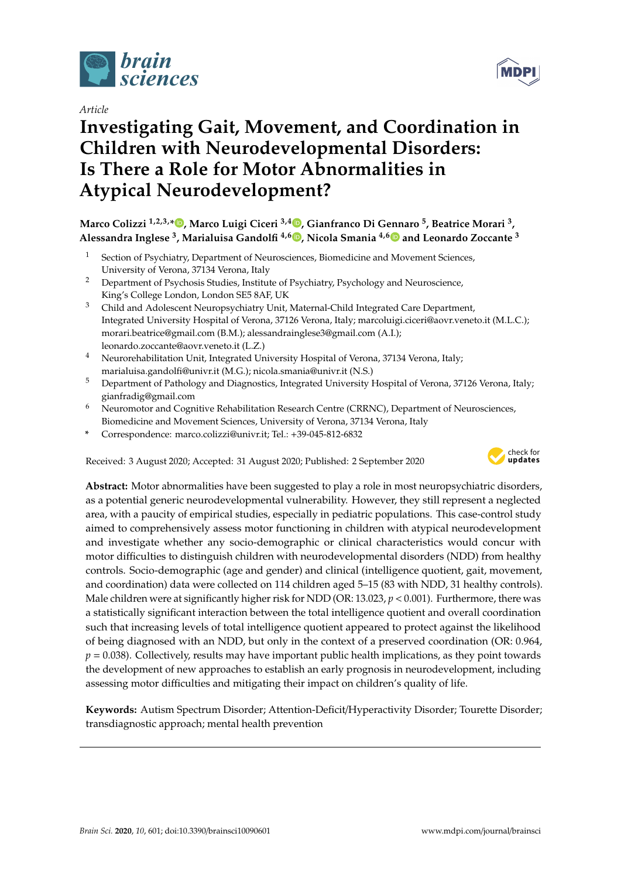

*Article*

# **Investigating Gait, Movement, and Coordination in Children with Neurodevelopmental Disorders: Is There a Role for Motor Abnormalities in Atypical Neurodevelopment?**

**Marco Colizzi 1,2,3,[\\*](https://orcid.org/0000-0001-6139-1920) , Marco Luigi Ciceri 3,4 [,](https://orcid.org/0000-0003-2661-9592) Gianfranco Di Gennaro <sup>5</sup> , Beatrice Morari <sup>3</sup> , Alessandra Inglese <sup>3</sup> , Marialuisa Gandolfi 4,6 [,](https://orcid.org/0000-0002-0877-4807) Nicola Smania 4,[6](https://orcid.org/0000-0001-7630-1887) and Leonardo Zoccante <sup>3</sup>**

- <sup>1</sup> Section of Psychiatry, Department of Neurosciences, Biomedicine and Movement Sciences, University of Verona, 37134 Verona, Italy
- <sup>2</sup> Department of Psychosis Studies, Institute of Psychiatry, Psychology and Neuroscience, King's College London, London SE5 8AF, UK
- <sup>3</sup> Child and Adolescent Neuropsychiatry Unit, Maternal-Child Integrated Care Department, Integrated University Hospital of Verona, 37126 Verona, Italy; marcoluigi.ciceri@aovr.veneto.it (M.L.C.); morari.beatrice@gmail.com (B.M.); alessandrainglese3@gmail.com (A.I.); leonardo.zoccante@aovr.veneto.it (L.Z.)
- <sup>4</sup> Neurorehabilitation Unit, Integrated University Hospital of Verona, 37134 Verona, Italy; marialuisa.gandolfi@univr.it (M.G.); nicola.smania@univr.it (N.S.)
- <sup>5</sup> Department of Pathology and Diagnostics, Integrated University Hospital of Verona, 37126 Verona, Italy; gianfradig@gmail.com
- $6$  Neuromotor and Cognitive Rehabilitation Research Centre (CRRNC), Department of Neurosciences, Biomedicine and Movement Sciences, University of Verona, 37134 Verona, Italy
- **\*** Correspondence: marco.colizzi@univr.it; Tel.: +39-045-812-6832

Received: 3 August 2020; Accepted: 31 August 2020; Published: 2 September 2020



**Abstract:** Motor abnormalities have been suggested to play a role in most neuropsychiatric disorders, as a potential generic neurodevelopmental vulnerability. However, they still represent a neglected area, with a paucity of empirical studies, especially in pediatric populations. This case-control study aimed to comprehensively assess motor functioning in children with atypical neurodevelopment and investigate whether any socio-demographic or clinical characteristics would concur with motor difficulties to distinguish children with neurodevelopmental disorders (NDD) from healthy controls. Socio-demographic (age and gender) and clinical (intelligence quotient, gait, movement, and coordination) data were collected on 114 children aged 5–15 (83 with NDD, 31 healthy controls). Male children were at significantly higher risk for NDD (OR: 13.023, *p* < 0.001). Furthermore, there was a statistically significant interaction between the total intelligence quotient and overall coordination such that increasing levels of total intelligence quotient appeared to protect against the likelihood of being diagnosed with an NDD, but only in the context of a preserved coordination (OR: 0.964,  $p = 0.038$ ). Collectively, results may have important public health implications, as they point towards the development of new approaches to establish an early prognosis in neurodevelopment, including assessing motor difficulties and mitigating their impact on children's quality of life.

**Keywords:** Autism Spectrum Disorder; Attention-Deficit/Hyperactivity Disorder; Tourette Disorder; transdiagnostic approach; mental health prevention

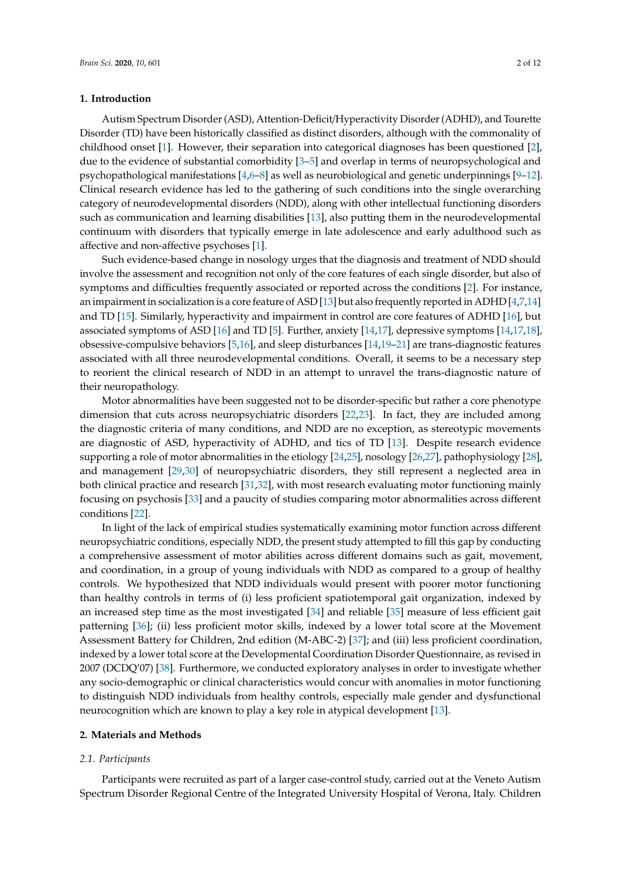## **1. Introduction**

Autism Spectrum Disorder (ASD), Attention-Deficit/Hyperactivity Disorder (ADHD), and Tourette Disorder (TD) have been historically classified as distinct disorders, although with the commonality of childhood onset [\[1\]](#page-8-0). However, their separation into categorical diagnoses has been questioned [\[2\]](#page-8-1), due to the evidence of substantial comorbidity [\[3–](#page-8-2)[5\]](#page-8-3) and overlap in terms of neuropsychological and psychopathological manifestations [\[4,](#page-8-4)[6](#page-8-5)[–8\]](#page-8-6) as well as neurobiological and genetic underpinnings [\[9–](#page-8-7)[12\]](#page-9-0). Clinical research evidence has led to the gathering of such conditions into the single overarching category of neurodevelopmental disorders (NDD), along with other intellectual functioning disorders such as communication and learning disabilities [\[13\]](#page-9-1), also putting them in the neurodevelopmental continuum with disorders that typically emerge in late adolescence and early adulthood such as affective and non-affective psychoses [\[1\]](#page-8-0).

Such evidence-based change in nosology urges that the diagnosis and treatment of NDD should involve the assessment and recognition not only of the core features of each single disorder, but also of symptoms and difficulties frequently associated or reported across the conditions [\[2\]](#page-8-1). For instance, an impairment in socialization is a core feature of ASD [\[13\]](#page-9-1) but also frequently reported in ADHD [\[4,](#page-8-4)[7,](#page-8-8)[14\]](#page-9-2) and TD [\[15\]](#page-9-3). Similarly, hyperactivity and impairment in control are core features of ADHD [\[16\]](#page-9-4), but associated symptoms of ASD [\[16\]](#page-9-4) and TD [\[5\]](#page-8-3). Further, anxiety [\[14,](#page-9-2)[17\]](#page-9-5), depressive symptoms [\[14](#page-9-2)[,17](#page-9-5)[,18\]](#page-9-6), obsessive-compulsive behaviors [\[5,](#page-8-3)[16\]](#page-9-4), and sleep disturbances [\[14,](#page-9-2)[19](#page-9-7)[–21\]](#page-9-8) are trans-diagnostic features associated with all three neurodevelopmental conditions. Overall, it seems to be a necessary step to reorient the clinical research of NDD in an attempt to unravel the trans-diagnostic nature of their neuropathology.

Motor abnormalities have been suggested not to be disorder-specific but rather a core phenotype dimension that cuts across neuropsychiatric disorders [\[22](#page-9-9)[,23\]](#page-9-10). In fact, they are included among the diagnostic criteria of many conditions, and NDD are no exception, as stereotypic movements are diagnostic of ASD, hyperactivity of ADHD, and tics of TD [\[13\]](#page-9-1). Despite research evidence supporting a role of motor abnormalities in the etiology [\[24,](#page-9-11)[25\]](#page-9-12), nosology [\[26](#page-9-13)[,27\]](#page-9-14), pathophysiology [\[28\]](#page-9-15), and management [\[29,](#page-9-16)[30\]](#page-9-17) of neuropsychiatric disorders, they still represent a neglected area in both clinical practice and research [\[31](#page-9-18)[,32\]](#page-9-19), with most research evaluating motor functioning mainly focusing on psychosis [\[33\]](#page-9-20) and a paucity of studies comparing motor abnormalities across different conditions [\[22\]](#page-9-9).

In light of the lack of empirical studies systematically examining motor function across different neuropsychiatric conditions, especially NDD, the present study attempted to fill this gap by conducting a comprehensive assessment of motor abilities across different domains such as gait, movement, and coordination, in a group of young individuals with NDD as compared to a group of healthy controls. We hypothesized that NDD individuals would present with poorer motor functioning than healthy controls in terms of (i) less proficient spatiotemporal gait organization, indexed by an increased step time as the most investigated [\[34\]](#page-9-21) and reliable [\[35\]](#page-9-22) measure of less efficient gait patterning [\[36\]](#page-10-0); (ii) less proficient motor skills, indexed by a lower total score at the Movement Assessment Battery for Children, 2nd edition (M-ABC-2) [\[37\]](#page-10-1); and (iii) less proficient coordination, indexed by a lower total score at the Developmental Coordination Disorder Questionnaire, as revised in 2007 (DCDQ'07) [\[38\]](#page-10-2). Furthermore, we conducted exploratory analyses in order to investigate whether any socio-demographic or clinical characteristics would concur with anomalies in motor functioning to distinguish NDD individuals from healthy controls, especially male gender and dysfunctional neurocognition which are known to play a key role in atypical development [\[13\]](#page-9-1).

# **2. Materials and Methods**

#### *2.1. Participants*

Participants were recruited as part of a larger case-control study, carried out at the Veneto Autism Spectrum Disorder Regional Centre of the Integrated University Hospital of Verona, Italy. Children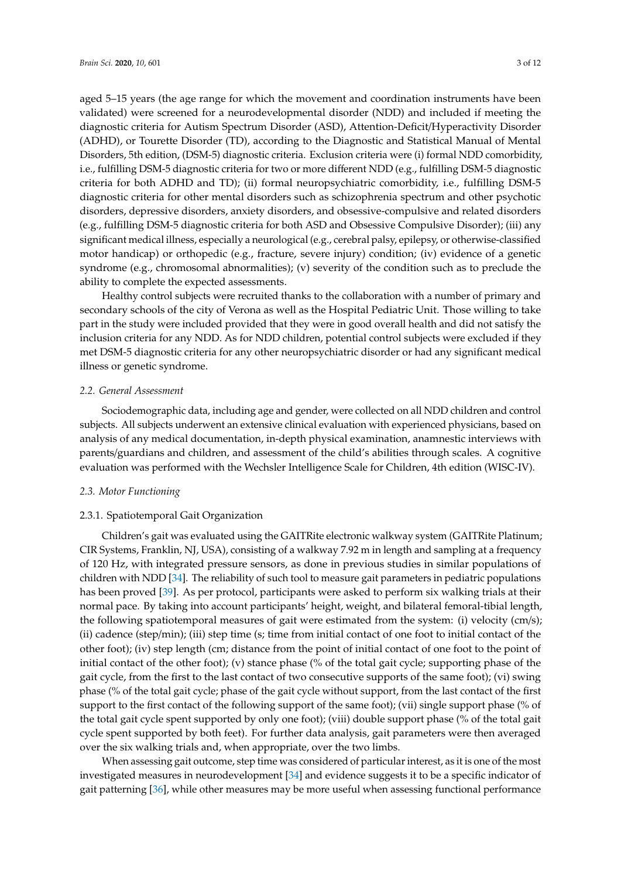aged 5–15 years (the age range for which the movement and coordination instruments have been validated) were screened for a neurodevelopmental disorder (NDD) and included if meeting the diagnostic criteria for Autism Spectrum Disorder (ASD), Attention-Deficit/Hyperactivity Disorder (ADHD), or Tourette Disorder (TD), according to the Diagnostic and Statistical Manual of Mental Disorders, 5th edition, (DSM-5) diagnostic criteria. Exclusion criteria were (i) formal NDD comorbidity, i.e., fulfilling DSM-5 diagnostic criteria for two or more different NDD (e.g., fulfilling DSM-5 diagnostic criteria for both ADHD and TD); (ii) formal neuropsychiatric comorbidity, i.e., fulfilling DSM-5 diagnostic criteria for other mental disorders such as schizophrenia spectrum and other psychotic disorders, depressive disorders, anxiety disorders, and obsessive-compulsive and related disorders (e.g., fulfilling DSM-5 diagnostic criteria for both ASD and Obsessive Compulsive Disorder); (iii) any significant medical illness, especially a neurological (e.g., cerebral palsy, epilepsy, or otherwise-classified motor handicap) or orthopedic (e.g., fracture, severe injury) condition; (iv) evidence of a genetic syndrome (e.g., chromosomal abnormalities); (v) severity of the condition such as to preclude the ability to complete the expected assessments.

Healthy control subjects were recruited thanks to the collaboration with a number of primary and secondary schools of the city of Verona as well as the Hospital Pediatric Unit. Those willing to take part in the study were included provided that they were in good overall health and did not satisfy the inclusion criteria for any NDD. As for NDD children, potential control subjects were excluded if they met DSM-5 diagnostic criteria for any other neuropsychiatric disorder or had any significant medical illness or genetic syndrome.

#### *2.2. General Assessment*

Sociodemographic data, including age and gender, were collected on all NDD children and control subjects. All subjects underwent an extensive clinical evaluation with experienced physicians, based on analysis of any medical documentation, in-depth physical examination, anamnestic interviews with parents/guardians and children, and assessment of the child's abilities through scales. A cognitive evaluation was performed with the Wechsler Intelligence Scale for Children, 4th edition (WISC-IV).

#### *2.3. Motor Functioning*

#### 2.3.1. Spatiotemporal Gait Organization

Children's gait was evaluated using the GAITRite electronic walkway system (GAITRite Platinum; CIR Systems, Franklin, NJ, USA), consisting of a walkway 7.92 m in length and sampling at a frequency of 120 Hz, with integrated pressure sensors, as done in previous studies in similar populations of children with NDD [\[34\]](#page-9-21). The reliability of such tool to measure gait parameters in pediatric populations has been proved [\[39\]](#page-10-3). As per protocol, participants were asked to perform six walking trials at their normal pace. By taking into account participants' height, weight, and bilateral femoral-tibial length, the following spatiotemporal measures of gait were estimated from the system: (i) velocity (cm/s); (ii) cadence (step/min); (iii) step time (s; time from initial contact of one foot to initial contact of the other foot); (iv) step length (cm; distance from the point of initial contact of one foot to the point of initial contact of the other foot); (v) stance phase (% of the total gait cycle; supporting phase of the gait cycle, from the first to the last contact of two consecutive supports of the same foot); (vi) swing phase (% of the total gait cycle; phase of the gait cycle without support, from the last contact of the first support to the first contact of the following support of the same foot); (vii) single support phase (% of the total gait cycle spent supported by only one foot); (viii) double support phase (% of the total gait cycle spent supported by both feet). For further data analysis, gait parameters were then averaged over the six walking trials and, when appropriate, over the two limbs.

When assessing gait outcome, step time was considered of particular interest, as it is one of the most investigated measures in neurodevelopment [\[34\]](#page-9-21) and evidence suggests it to be a specific indicator of gait patterning [\[36\]](#page-10-0), while other measures may be more useful when assessing functional performance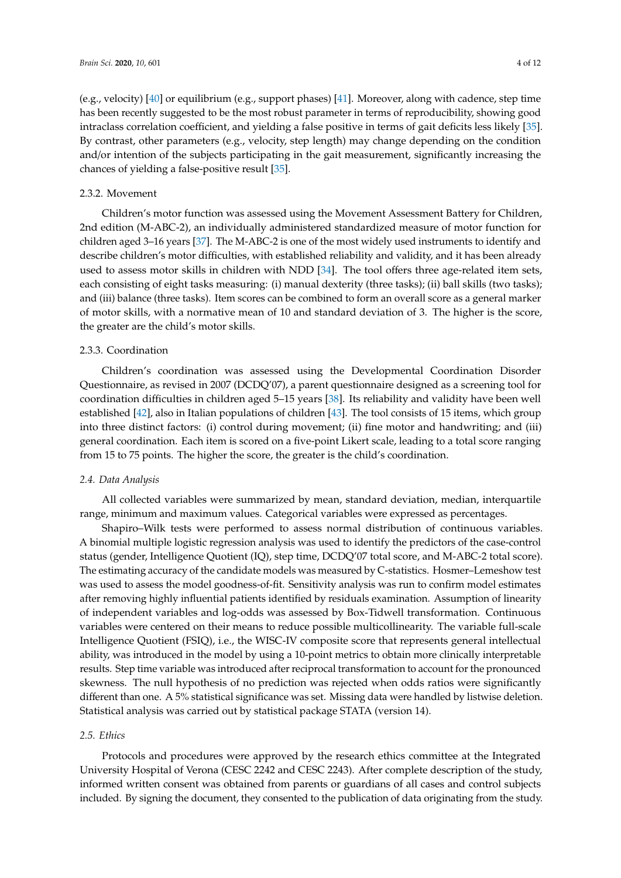(e.g., velocity) [\[40\]](#page-10-4) or equilibrium (e.g., support phases) [\[41\]](#page-10-5). Moreover, along with cadence, step time has been recently suggested to be the most robust parameter in terms of reproducibility, showing good intraclass correlation coefficient, and yielding a false positive in terms of gait deficits less likely [\[35\]](#page-9-22). By contrast, other parameters (e.g., velocity, step length) may change depending on the condition and/or intention of the subjects participating in the gait measurement, significantly increasing the chances of yielding a false-positive result [\[35\]](#page-9-22).

# 2.3.2. Movement

Children's motor function was assessed using the Movement Assessment Battery for Children, 2nd edition (M-ABC-2), an individually administered standardized measure of motor function for children aged 3–16 years [\[37\]](#page-10-1). The M-ABC-2 is one of the most widely used instruments to identify and describe children's motor difficulties, with established reliability and validity, and it has been already used to assess motor skills in children with NDD [\[34\]](#page-9-21). The tool offers three age-related item sets, each consisting of eight tasks measuring: (i) manual dexterity (three tasks); (ii) ball skills (two tasks); and (iii) balance (three tasks). Item scores can be combined to form an overall score as a general marker of motor skills, with a normative mean of 10 and standard deviation of 3. The higher is the score, the greater are the child's motor skills.

# 2.3.3. Coordination

Children's coordination was assessed using the Developmental Coordination Disorder Questionnaire, as revised in 2007 (DCDQ'07), a parent questionnaire designed as a screening tool for coordination difficulties in children aged 5–15 years [\[38\]](#page-10-2). Its reliability and validity have been well established [\[42\]](#page-10-6), also in Italian populations of children [\[43\]](#page-10-7). The tool consists of 15 items, which group into three distinct factors: (i) control during movement; (ii) fine motor and handwriting; and (iii) general coordination. Each item is scored on a five-point Likert scale, leading to a total score ranging from 15 to 75 points. The higher the score, the greater is the child's coordination.

# *2.4. Data Analysis*

All collected variables were summarized by mean, standard deviation, median, interquartile range, minimum and maximum values. Categorical variables were expressed as percentages.

Shapiro–Wilk tests were performed to assess normal distribution of continuous variables. A binomial multiple logistic regression analysis was used to identify the predictors of the case-control status (gender, Intelligence Quotient (IQ), step time, DCDQ'07 total score, and M-ABC-2 total score). The estimating accuracy of the candidate models was measured by C-statistics. Hosmer–Lemeshow test was used to assess the model goodness-of-fit. Sensitivity analysis was run to confirm model estimates after removing highly influential patients identified by residuals examination. Assumption of linearity of independent variables and log-odds was assessed by Box-Tidwell transformation. Continuous variables were centered on their means to reduce possible multicollinearity. The variable full-scale Intelligence Quotient (FSIQ), i.e., the WISC-IV composite score that represents general intellectual ability, was introduced in the model by using a 10-point metrics to obtain more clinically interpretable results. Step time variable was introduced after reciprocal transformation to account for the pronounced skewness. The null hypothesis of no prediction was rejected when odds ratios were significantly different than one. A 5% statistical significance was set. Missing data were handled by listwise deletion. Statistical analysis was carried out by statistical package STATA (version 14).

#### *2.5. Ethics*

Protocols and procedures were approved by the research ethics committee at the Integrated University Hospital of Verona (CESC 2242 and CESC 2243). After complete description of the study, informed written consent was obtained from parents or guardians of all cases and control subjects included. By signing the document, they consented to the publication of data originating from the study.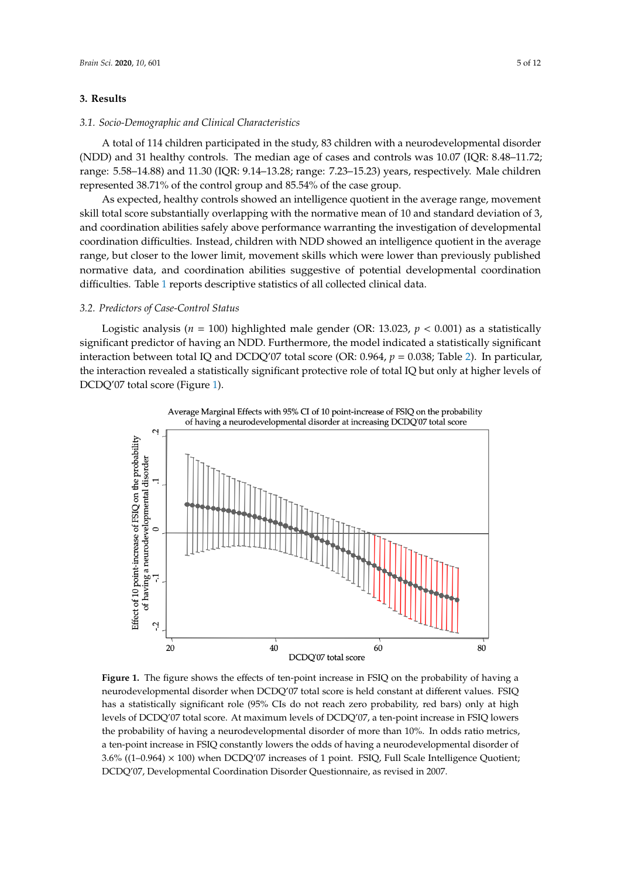# **3. Results**

#### *3.1. Socio-Demographic and Clinical Characteristics*

A total of 114 children participated in the study, 83 children with a neurodevelopmental disorder (NDD) and 31 healthy controls. The median age of cases and controls was 10.07 (IQR: 8.48-11.72; range: 5.58–14.88) and 11.30 (IQR: 9.14–13.28; range: 7.23–15.23) years, respectively. Male children *3.2. Predictors of Case-Control Status* represented 38.71% of the control group and 85.54% of the case group.

As expected, healthy controls showed an intelligence quotient in the average range, movement skill total score substantially overlapping with the normative mean of 10 and standard deviation of 3, and coordination abilities safely above performance warranting the investigation of developmental coordination difficulties. Instead, children with NDD showed an intelligence quotient in the average range, but closer to the lower limit, movement skills which were lower than previously published normative data, and coordination abilities suggestive of potential developmental coordination **Table 2.** Predictors of case-control status**.** difficulties. Table [1](#page-5-0) reports descriptive statistics of all collected clinical data. *p***-Value OR 95% CI** four better bubblinitially overlapping with the Horman vertical of To and building deviation.

#### *3.2. Predictors of Case-Control Status* Gender <0.001 13.023 3.693–47.080  $\frac{1}{\sqrt{2}}$

Logistic analysis ( $n = 100$ ) highlighted male gender (OR: 13.023,  $p < 0.001$ ) as a statistically significant predictor of having an NDD. Furthermore, the model indicated a statistically significant interaction between total IQ and DCDQ'07 total score (OR: 0.964,  $p = 0.038$ ; Table [2\)](#page-6-0). In particular, the interaction revealed a statistically significant protective role of total IQ but only at higher levels of DCDQ'07 total score (Figure [1\)](#page-4-0). OR, odds ratio; CI, confidence interval; M-ABC-2, Movement Assessment Battery for Children, 2nd

<span id="page-4-0"></span>

**Figure 1.** The figure shows the effects of ten-point increase in FSIQ on the probability of having a **Figure 1.** The figure shows the effects of ten-point increase in FSIQ on the probability of having a neurodevelopmental disorder when DCDQ'07 total score is held constant at different values. FSIQ neurodevelopmental disorder when DCDQ'07 total score is held constant at different values. FSIQ has a statistically significant role (95% CIs do not reach zero probability, red bars) only at high levels of DCDQ'07 total score. At maximum levels of DCDQ'07, a ten-point increase in FSIQ lowers the probability of having a neurodevelopmental disorder of more than 10%. In odds ratio metrics, a ten-point increase in FSIQ constantly lowers the odds of having a neurodevelopmental disorder of  $(4,0.964)$   $(4.900)$  when  $DCDQ/07$  is  $(4, 1)$  point. FSIQ, Full  $S$  of  $1$  for  $1$  intelligence  $Q$  $B.6\%$  ((1–0.964)  $\times$  100) when DCDQ'07 increases of 1 point. FSIQ, Full Scale Intelligence Quotient; DCDQ'07, Developmental Coordination Disorder Questionnaire, as revised in 2007.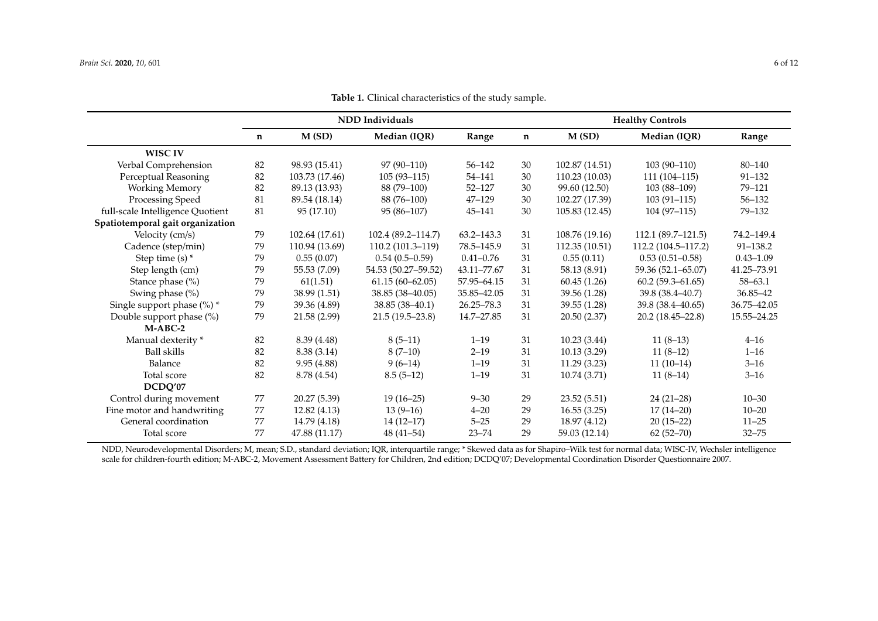|                                  | NDD Individuals |                |                     |               | <b>Healthy Controls</b> |                |                      |               |
|----------------------------------|-----------------|----------------|---------------------|---------------|-------------------------|----------------|----------------------|---------------|
|                                  | n               | M(SD)          | Median (IQR)        | Range         | $\mathbf n$             | M(SD)          | Median (IQR)         | Range         |
| <b>WISC IV</b>                   |                 |                |                     |               |                         |                |                      |               |
| Verbal Comprehension             | 82              | 98.93 (15.41)  | $97(90-110)$        | $56 - 142$    | 30                      | 102.87 (14.51) | $103(90-110)$        | 80-140        |
| Perceptual Reasoning             | 82              | 103.73 (17.46) | $105(93-115)$       | 54-141        | 30                      | 110.23 (10.03) | $111(104-115)$       | $91 - 132$    |
| <b>Working Memory</b>            | 82              | 89.13 (13.93)  | 88 (79-100)         | $52 - 127$    | 30                      | 99.60 (12.50)  | 103 (88-109)         | 79-121        |
| Processing Speed                 | 81              | 89.54 (18.14)  | 88 (76-100)         | $47 - 129$    | 30                      | 102.27 (17.39) | $103(91-115)$        | $56 - 132$    |
| full-scale Intelligence Quotient | 81              | 95 (17.10)     | $95(86-107)$        | 45-141        | 30                      | 105.83 (12.45) | $104(97-115)$        | $79 - 132$    |
| Spatiotemporal gait organization |                 |                |                     |               |                         |                |                      |               |
| Velocity (cm/s)                  | 79              | 102.64 (17.61) | 102.4 (89.2-114.7)  | 63.2-143.3    | 31                      | 108.76 (19.16) | $112.1(89.7-121.5)$  | 74.2-149.4    |
| Cadence (step/min)               | 79              | 110.94 (13.69) | 110.2 (101.3-119)   | 78.5-145.9    | 31                      | 112.35 (10.51) | 112.2 (104.5-117.2)  | 91-138.2      |
| Step time $(s)$ *                | 79              | 0.55(0.07)     | $0.54(0.5-0.59)$    | $0.41 - 0.76$ | 31                      | 0.55(0.11)     | $0.53(0.51-0.58)$    | $0.43 - 1.09$ |
| Step length (cm)                 | 79              | 55.53 (7.09)   | 54.53 (50.27-59.52) | 43.11-77.67   | 31                      | 58.13 (8.91)   | 59.36 (52.1–65.07)   | 41.25-73.91   |
| Stance phase (%)                 | 79              | 61(1.51)       | $61.15(60 - 62.05)$ | 57.95-64.15   | 31                      | 60.45(1.26)    | $60.2(59.3-61.65)$   | $58 - 63.1$   |
| Swing phase (%)                  | 79              | 38.99 (1.51)   | 38.85 (38-40.05)    | 35.85 - 42.05 | 31                      | 39.56 (1.28)   | 39.8 (38.4–40.7)     | 36.85-42      |
| Single support phase $(\%)$ *    | 79              | 39.36 (4.89)   | $38.85(38-40.1)$    | 26.25-78.3    | 31                      | 39.55 (1.28)   | 39.8 (38.4–40.65)    | 36.75-42.05   |
| Double support phase (%)         | 79              | 21.58 (2.99)   | $21.5(19.5-23.8)$   | 14.7-27.85    | 31                      | 20.50 (2.37)   | $20.2(18.45 - 22.8)$ | 15.55-24.25   |
| $M-ABC-2$                        |                 |                |                     |               |                         |                |                      |               |
| Manual dexterity *               | 82              | 8.39 (4.48)    | $8(5-11)$           | $1 - 19$      | 31                      | 10.23(3.44)    | $11(8-13)$           | $4 - 16$      |
| Ball skills                      | 82              | 8.38 (3.14)    | $8(7-10)$           | $2 - 19$      | 31                      | 10.13(3.29)    | $11(8-12)$           | $1 - 16$      |
| Balance                          | 82              | 9.95(4.88)     | $9(6-14)$           | $1 - 19$      | 31                      | 11.29(3.23)    | $11(10-14)$          | $3 - 16$      |
| Total score                      | 82              | 8.78 (4.54)    | $8.5(5-12)$         | $1 - 19$      | 31                      | 10.74 (3.71)   | $11(8-14)$           | $3 - 16$      |
| DCDQ'07                          |                 |                |                     |               |                         |                |                      |               |
| Control during movement          | 77              | 20.27 (5.39)   | $19(16-25)$         | $9 - 30$      | 29                      | 23.52(5.51)    | $24(21-28)$          | $10 - 30$     |
| Fine motor and handwriting       | 77              | 12.82(4.13)    | $13(9-16)$          | $4 - 20$      | 29                      | 16.55(3.25)    | $17(14-20)$          | $10 - 20$     |
| General coordination             | 77              | 14.79 (4.18)   | $14(12-17)$         | $5 - 25$      | 29                      | 18.97 (4.12)   | $20(15-22)$          | $11 - 25$     |
| Total score                      | 77              | 47.88 (11.17)  | $48(41 - 54)$       | $23 - 74$     | 29                      | 59.03 (12.14)  | $62(52 - 70)$        | $32 - 75$     |

**Table 1.** Clinical characteristics of the study sample.

<span id="page-5-0"></span>NDD, Neurodevelopmental Disorders; M, mean; S.D., standard deviation; IQR, interquartile range; \* Skewed data as for Shapiro–Wilk test for normal data; WISC-IV, Wechsler intelligence scale for children-fourth edition; M-ABC-2, Movement Assessment Battery for Children, 2nd edition; DCDQ'07; Developmental Coordination Disorder Questionnaire 2007.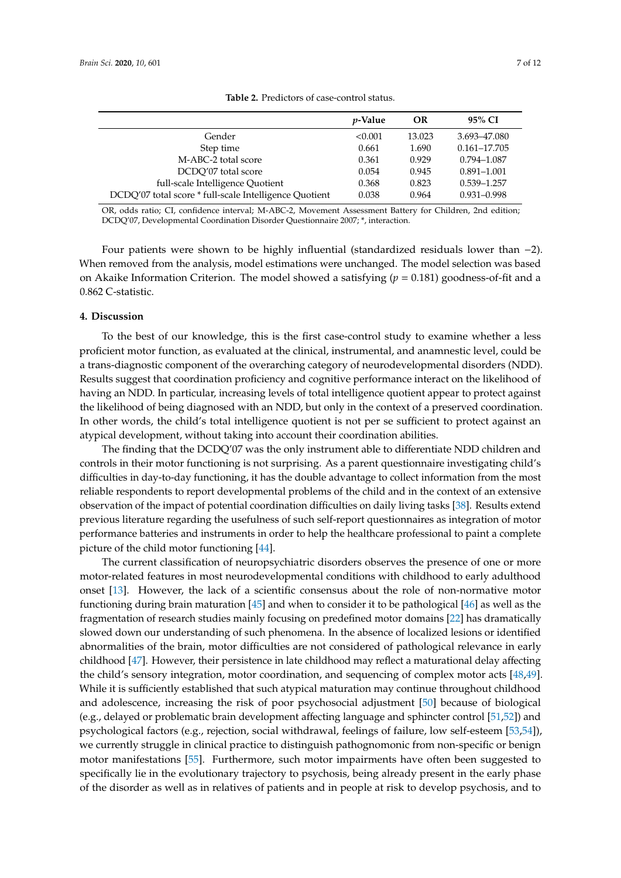<span id="page-6-0"></span>

|                                                        | <i>v</i> -Value | OR     | 95% CI           |
|--------------------------------------------------------|-----------------|--------|------------------|
| Gender                                                 | < 0.001         | 13.023 | 3.693-47.080     |
| Step time                                              | 0.661           | 1.690  | $0.161 - 17.705$ |
| M-ABC-2 total score                                    | 0.361           | 0.929  | 0.794-1.087      |
| DCDO'07 total score                                    | 0.054           | 0.945  | $0.891 - 1.001$  |
| full-scale Intelligence Quotient                       | 0.368           | 0.823  | 0.539-1.257      |
| DCDQ'07 total score * full-scale Intelligence Quotient | 0.038           | 0.964  | $0.931 - 0.998$  |

**Table 2.** Predictors of case-control status.

OR, odds ratio; CI, confidence interval; M-ABC-2, Movement Assessment Battery for Children, 2nd edition; DCDQ'07, Developmental Coordination Disorder Questionnaire 2007; \*, interaction.

Four patients were shown to be highly influential (standardized residuals lower than −2). When removed from the analysis, model estimations were unchanged. The model selection was based on Akaike Information Criterion. The model showed a satisfying (*p* = 0.181) goodness-of-fit and a 0.862 C-statistic.

# **4. Discussion**

To the best of our knowledge, this is the first case-control study to examine whether a less proficient motor function, as evaluated at the clinical, instrumental, and anamnestic level, could be a trans-diagnostic component of the overarching category of neurodevelopmental disorders (NDD). Results suggest that coordination proficiency and cognitive performance interact on the likelihood of having an NDD. In particular, increasing levels of total intelligence quotient appear to protect against the likelihood of being diagnosed with an NDD, but only in the context of a preserved coordination. In other words, the child's total intelligence quotient is not per se sufficient to protect against an atypical development, without taking into account their coordination abilities.

The finding that the DCDQ'07 was the only instrument able to differentiate NDD children and controls in their motor functioning is not surprising. As a parent questionnaire investigating child's difficulties in day-to-day functioning, it has the double advantage to collect information from the most reliable respondents to report developmental problems of the child and in the context of an extensive observation of the impact of potential coordination difficulties on daily living tasks [\[38\]](#page-10-2). Results extend previous literature regarding the usefulness of such self-report questionnaires as integration of motor performance batteries and instruments in order to help the healthcare professional to paint a complete picture of the child motor functioning [\[44\]](#page-10-8).

The current classification of neuropsychiatric disorders observes the presence of one or more motor-related features in most neurodevelopmental conditions with childhood to early adulthood onset [\[13\]](#page-9-1). However, the lack of a scientific consensus about the role of non-normative motor functioning during brain maturation [\[45\]](#page-10-9) and when to consider it to be pathological [\[46\]](#page-10-10) as well as the fragmentation of research studies mainly focusing on predefined motor domains [\[22\]](#page-9-9) has dramatically slowed down our understanding of such phenomena. In the absence of localized lesions or identified abnormalities of the brain, motor difficulties are not considered of pathological relevance in early childhood [\[47\]](#page-10-11). However, their persistence in late childhood may reflect a maturational delay affecting the child's sensory integration, motor coordination, and sequencing of complex motor acts [\[48,](#page-10-12)[49\]](#page-10-13). While it is sufficiently established that such atypical maturation may continue throughout childhood and adolescence, increasing the risk of poor psychosocial adjustment [\[50\]](#page-10-14) because of biological (e.g., delayed or problematic brain development affecting language and sphincter control [\[51,](#page-10-15)[52\]](#page-10-16)) and psychological factors (e.g., rejection, social withdrawal, feelings of failure, low self-esteem [\[53,](#page-10-17)[54\]](#page-10-18)), we currently struggle in clinical practice to distinguish pathognomonic from non-specific or benign motor manifestations [\[55\]](#page-10-19). Furthermore, such motor impairments have often been suggested to specifically lie in the evolutionary trajectory to psychosis, being already present in the early phase of the disorder as well as in relatives of patients and in people at risk to develop psychosis, and to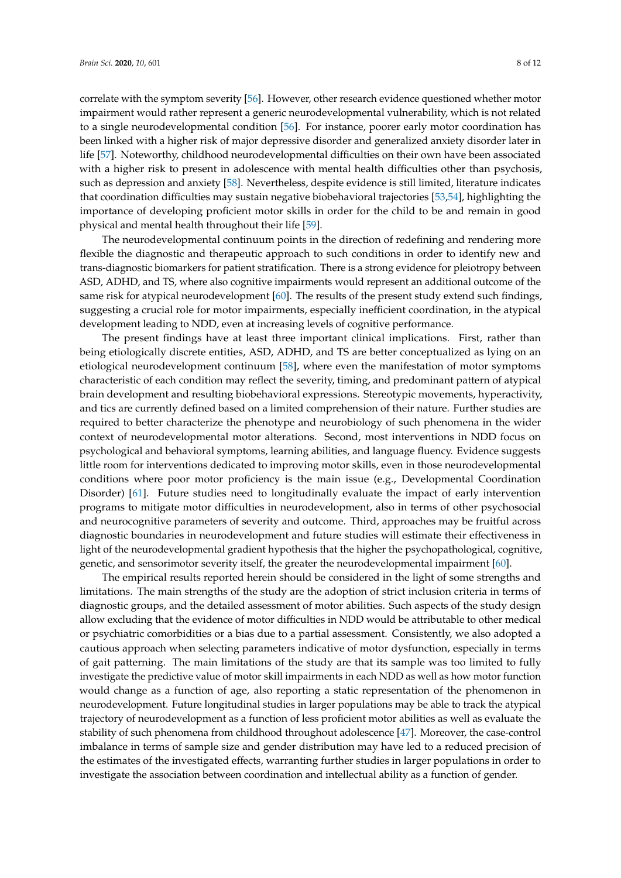correlate with the symptom severity [\[56\]](#page-10-20). However, other research evidence questioned whether motor impairment would rather represent a generic neurodevelopmental vulnerability, which is not related to a single neurodevelopmental condition [\[56\]](#page-10-20). For instance, poorer early motor coordination has been linked with a higher risk of major depressive disorder and generalized anxiety disorder later in life [\[57\]](#page-10-21). Noteworthy, childhood neurodevelopmental difficulties on their own have been associated with a higher risk to present in adolescence with mental health difficulties other than psychosis, such as depression and anxiety [\[58\]](#page-10-22). Nevertheless, despite evidence is still limited, literature indicates that coordination difficulties may sustain negative biobehavioral trajectories [\[53,](#page-10-17)[54\]](#page-10-18), highlighting the importance of developing proficient motor skills in order for the child to be and remain in good physical and mental health throughout their life [\[59\]](#page-11-0).

The neurodevelopmental continuum points in the direction of redefining and rendering more flexible the diagnostic and therapeutic approach to such conditions in order to identify new and trans-diagnostic biomarkers for patient stratification. There is a strong evidence for pleiotropy between ASD, ADHD, and TS, where also cognitive impairments would represent an additional outcome of the same risk for atypical neurodevelopment [\[60\]](#page-11-1). The results of the present study extend such findings, suggesting a crucial role for motor impairments, especially inefficient coordination, in the atypical development leading to NDD, even at increasing levels of cognitive performance.

The present findings have at least three important clinical implications. First, rather than being etiologically discrete entities, ASD, ADHD, and TS are better conceptualized as lying on an etiological neurodevelopment continuum [\[58\]](#page-10-22), where even the manifestation of motor symptoms characteristic of each condition may reflect the severity, timing, and predominant pattern of atypical brain development and resulting biobehavioral expressions. Stereotypic movements, hyperactivity, and tics are currently defined based on a limited comprehension of their nature. Further studies are required to better characterize the phenotype and neurobiology of such phenomena in the wider context of neurodevelopmental motor alterations. Second, most interventions in NDD focus on psychological and behavioral symptoms, learning abilities, and language fluency. Evidence suggests little room for interventions dedicated to improving motor skills, even in those neurodevelopmental conditions where poor motor proficiency is the main issue (e.g., Developmental Coordination Disorder) [\[61\]](#page-11-2). Future studies need to longitudinally evaluate the impact of early intervention programs to mitigate motor difficulties in neurodevelopment, also in terms of other psychosocial and neurocognitive parameters of severity and outcome. Third, approaches may be fruitful across diagnostic boundaries in neurodevelopment and future studies will estimate their effectiveness in light of the neurodevelopmental gradient hypothesis that the higher the psychopathological, cognitive, genetic, and sensorimotor severity itself, the greater the neurodevelopmental impairment [\[60\]](#page-11-1).

The empirical results reported herein should be considered in the light of some strengths and limitations. The main strengths of the study are the adoption of strict inclusion criteria in terms of diagnostic groups, and the detailed assessment of motor abilities. Such aspects of the study design allow excluding that the evidence of motor difficulties in NDD would be attributable to other medical or psychiatric comorbidities or a bias due to a partial assessment. Consistently, we also adopted a cautious approach when selecting parameters indicative of motor dysfunction, especially in terms of gait patterning. The main limitations of the study are that its sample was too limited to fully investigate the predictive value of motor skill impairments in each NDD as well as how motor function would change as a function of age, also reporting a static representation of the phenomenon in neurodevelopment. Future longitudinal studies in larger populations may be able to track the atypical trajectory of neurodevelopment as a function of less proficient motor abilities as well as evaluate the stability of such phenomena from childhood throughout adolescence [\[47\]](#page-10-11). Moreover, the case-control imbalance in terms of sample size and gender distribution may have led to a reduced precision of the estimates of the investigated effects, warranting further studies in larger populations in order to investigate the association between coordination and intellectual ability as a function of gender.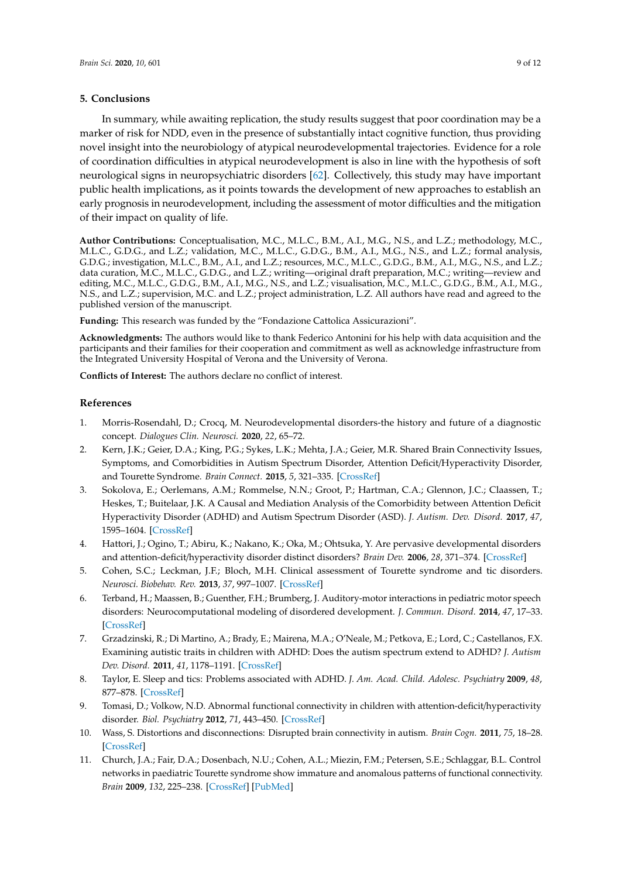#### **5. Conclusions**

In summary, while awaiting replication, the study results suggest that poor coordination may be a marker of risk for NDD, even in the presence of substantially intact cognitive function, thus providing novel insight into the neurobiology of atypical neurodevelopmental trajectories. Evidence for a role of coordination difficulties in atypical neurodevelopment is also in line with the hypothesis of soft neurological signs in neuropsychiatric disorders [\[62\]](#page-11-3). Collectively, this study may have important public health implications, as it points towards the development of new approaches to establish an early prognosis in neurodevelopment, including the assessment of motor difficulties and the mitigation of their impact on quality of life.

**Author Contributions:** Conceptualisation, M.C., M.L.C., B.M., A.I., M.G., N.S., and L.Z.; methodology, M.C., M.L.C., G.D.G., and L.Z.; validation, M.C., M.L.C., G.D.G., B.M., A.I., M.G., N.S., and L.Z.; formal analysis, G.D.G.; investigation, M.L.C., B.M., A.I., and L.Z.; resources, M.C., M.L.C., G.D.G., B.M., A.I., M.G., N.S., and L.Z.; data curation, M.C., M.L.C., G.D.G., and L.Z.; writing—original draft preparation, M.C.; writing—review and editing, M.C., M.L.C., G.D.G., B.M., A.I., M.G., N.S., and L.Z.; visualisation, M.C., M.L.C., G.D.G., B.M., A.I., M.G., N.S., and L.Z.; supervision, M.C. and L.Z.; project administration, L.Z. All authors have read and agreed to the published version of the manuscript.

**Funding:** This research was funded by the "Fondazione Cattolica Assicurazioni".

**Acknowledgments:** The authors would like to thank Federico Antonini for his help with data acquisition and the participants and their families for their cooperation and commitment as well as acknowledge infrastructure from the Integrated University Hospital of Verona and the University of Verona.

**Conflicts of Interest:** The authors declare no conflict of interest.

# **References**

- <span id="page-8-0"></span>1. Morris-Rosendahl, D.; Crocq, M. Neurodevelopmental disorders-the history and future of a diagnostic concept. *Dialogues Clin. Neurosci.* **2020**, *22*, 65–72.
- <span id="page-8-1"></span>2. Kern, J.K.; Geier, D.A.; King, P.G.; Sykes, L.K.; Mehta, J.A.; Geier, M.R. Shared Brain Connectivity Issues, Symptoms, and Comorbidities in Autism Spectrum Disorder, Attention Deficit/Hyperactivity Disorder, and Tourette Syndrome. *Brain Connect.* **2015**, *5*, 321–335. [\[CrossRef\]](http://dx.doi.org/10.1089/brain.2014.0324)
- <span id="page-8-2"></span>3. Sokolova, E.; Oerlemans, A.M.; Rommelse, N.N.; Groot, P.; Hartman, C.A.; Glennon, J.C.; Claassen, T.; Heskes, T.; Buitelaar, J.K. A Causal and Mediation Analysis of the Comorbidity between Attention Deficit Hyperactivity Disorder (ADHD) and Autism Spectrum Disorder (ASD). *J. Autism. Dev. Disord.* **2017**, *47*, 1595–1604. [\[CrossRef\]](http://dx.doi.org/10.1007/s10803-017-3083-7)
- <span id="page-8-4"></span>4. Hattori, J.; Ogino, T.; Abiru, K.; Nakano, K.; Oka, M.; Ohtsuka, Y. Are pervasive developmental disorders and attention-deficit/hyperactivity disorder distinct disorders? *Brain Dev.* **2006**, *28*, 371–374. [\[CrossRef\]](http://dx.doi.org/10.1016/j.braindev.2005.11.009)
- <span id="page-8-3"></span>5. Cohen, S.C.; Leckman, J.F.; Bloch, M.H. Clinical assessment of Tourette syndrome and tic disorders. *Neurosci. Biobehav. Rev.* **2013**, *37*, 997–1007. [\[CrossRef\]](http://dx.doi.org/10.1016/j.neubiorev.2012.11.013)
- <span id="page-8-5"></span>6. Terband, H.; Maassen, B.; Guenther, F.H.; Brumberg, J. Auditory-motor interactions in pediatric motor speech disorders: Neurocomputational modeling of disordered development. *J. Commun. Disord.* **2014**, *47*, 17–33. [\[CrossRef\]](http://dx.doi.org/10.1016/j.jcomdis.2014.01.001)
- <span id="page-8-8"></span>7. Grzadzinski, R.; Di Martino, A.; Brady, E.; Mairena, M.A.; O'Neale, M.; Petkova, E.; Lord, C.; Castellanos, F.X. Examining autistic traits in children with ADHD: Does the autism spectrum extend to ADHD? *J. Autism Dev. Disord.* **2011**, *41*, 1178–1191. [\[CrossRef\]](http://dx.doi.org/10.1007/s10803-010-1135-3)
- <span id="page-8-6"></span>8. Taylor, E. Sleep and tics: Problems associated with ADHD. *J. Am. Acad. Child. Adolesc. Psychiatry* **2009**, *48*, 877–878. [\[CrossRef\]](http://dx.doi.org/10.1097/CHI.0b013e3181af825a)
- <span id="page-8-7"></span>9. Tomasi, D.; Volkow, N.D. Abnormal functional connectivity in children with attention-deficit/hyperactivity disorder. *Biol. Psychiatry* **2012**, *71*, 443–450. [\[CrossRef\]](http://dx.doi.org/10.1016/j.biopsych.2011.11.003)
- 10. Wass, S. Distortions and disconnections: Disrupted brain connectivity in autism. *Brain Cogn.* **2011**, *75*, 18–28. [\[CrossRef\]](http://dx.doi.org/10.1016/j.bandc.2010.10.005)
- 11. Church, J.A.; Fair, D.A.; Dosenbach, N.U.; Cohen, A.L.; Miezin, F.M.; Petersen, S.E.; Schlaggar, B.L. Control networks in paediatric Tourette syndrome show immature and anomalous patterns of functional connectivity. *Brain* **2009**, *132*, 225–238. [\[CrossRef\]](http://dx.doi.org/10.1093/brain/awn223) [\[PubMed\]](http://www.ncbi.nlm.nih.gov/pubmed/18952678)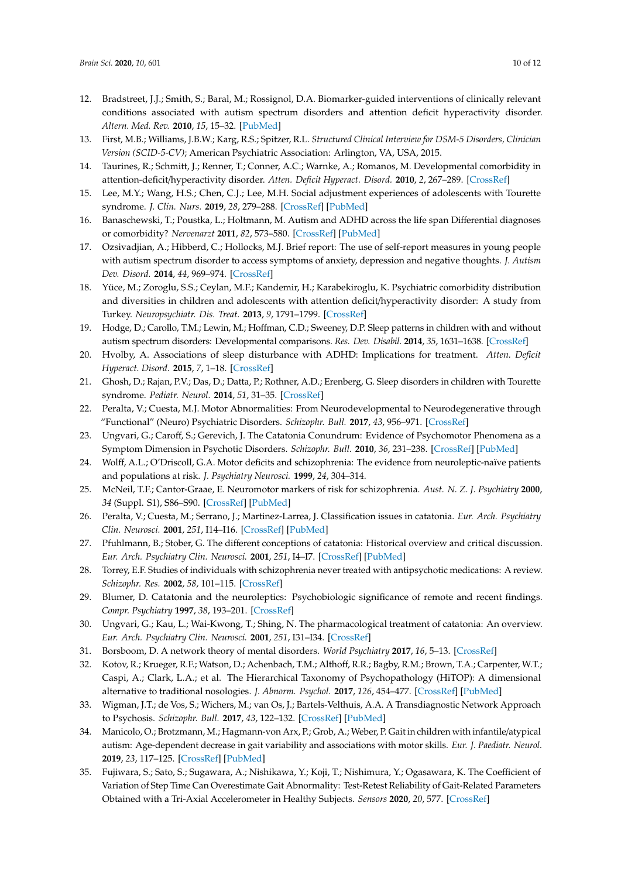- <span id="page-9-0"></span>12. Bradstreet, J.J.; Smith, S.; Baral, M.; Rossignol, D.A. Biomarker-guided interventions of clinically relevant conditions associated with autism spectrum disorders and attention deficit hyperactivity disorder. *Altern. Med. Rev.* **2010**, *15*, 15–32. [\[PubMed\]](http://www.ncbi.nlm.nih.gov/pubmed/20359266)
- <span id="page-9-1"></span>13. First, M.B.; Williams, J.B.W.; Karg, R.S.; Spitzer, R.L. *Structured Clinical Interview for DSM-5 Disorders, Clinician Version (SCID-5-CV)*; American Psychiatric Association: Arlington, VA, USA, 2015.
- <span id="page-9-2"></span>14. Taurines, R.; Schmitt, J.; Renner, T.; Conner, A.C.; Warnke, A.; Romanos, M. Developmental comorbidity in attention-deficit/hyperactivity disorder. *Atten. Deficit Hyperact. Disord.* **2010**, *2*, 267–289. [\[CrossRef\]](http://dx.doi.org/10.1007/s12402-010-0040-0)
- <span id="page-9-3"></span>15. Lee, M.Y.; Wang, H.S.; Chen, C.J.; Lee, M.H. Social adjustment experiences of adolescents with Tourette syndrome. *J. Clin. Nurs.* **2019**, *28*, 279–288. [\[CrossRef\]](http://dx.doi.org/10.1111/jocn.14564) [\[PubMed\]](http://www.ncbi.nlm.nih.gov/pubmed/29893437)
- <span id="page-9-4"></span>16. Banaschewski, T.; Poustka, L.; Holtmann, M. Autism and ADHD across the life span Differential diagnoses or comorbidity? *Nervenarzt* **2011**, *82*, 573–580. [\[CrossRef\]](http://dx.doi.org/10.1007/s00115-010-3239-6) [\[PubMed\]](http://www.ncbi.nlm.nih.gov/pubmed/21484168)
- <span id="page-9-5"></span>17. Ozsivadjian, A.; Hibberd, C.; Hollocks, M.J. Brief report: The use of self-report measures in young people with autism spectrum disorder to access symptoms of anxiety, depression and negative thoughts. *J. Autism Dev. Disord.* **2014**, *44*, 969–974. [\[CrossRef\]](http://dx.doi.org/10.1007/s10803-013-1937-1)
- <span id="page-9-6"></span>18. Yüce, M.; Zoroglu, S.S.; Ceylan, M.F.; Kandemir, H.; Karabekiroglu, K. Psychiatric comorbidity distribution and diversities in children and adolescents with attention deficit/hyperactivity disorder: A study from Turkey. *Neuropsychiatr. Dis. Treat.* **2013**, *9*, 1791–1799. [\[CrossRef\]](http://dx.doi.org/10.2147/NDT.S54283)
- <span id="page-9-7"></span>19. Hodge, D.; Carollo, T.M.; Lewin, M.; Hoffman, C.D.; Sweeney, D.P. Sleep patterns in children with and without autism spectrum disorders: Developmental comparisons. *Res. Dev. Disabil.* **2014**, *35*, 1631–1638. [\[CrossRef\]](http://dx.doi.org/10.1016/j.ridd.2014.03.037)
- 20. Hvolby, A. Associations of sleep disturbance with ADHD: Implications for treatment. *Atten. Deficit Hyperact. Disord.* **2015**, *7*, 1–18. [\[CrossRef\]](http://dx.doi.org/10.1007/s12402-014-0151-0)
- <span id="page-9-8"></span>21. Ghosh, D.; Rajan, P.V.; Das, D.; Datta, P.; Rothner, A.D.; Erenberg, G. Sleep disorders in children with Tourette syndrome. *Pediatr. Neurol.* **2014**, *51*, 31–35. [\[CrossRef\]](http://dx.doi.org/10.1016/j.pediatrneurol.2014.03.017)
- <span id="page-9-9"></span>22. Peralta, V.; Cuesta, M.J. Motor Abnormalities: From Neurodevelopmental to Neurodegenerative through "Functional" (Neuro) Psychiatric Disorders. *Schizophr. Bull.* **2017**, *43*, 956–971. [\[CrossRef\]](http://dx.doi.org/10.1093/schbul/sbx089)
- <span id="page-9-10"></span>23. Ungvari, G.; Caroff, S.; Gerevich, J. The Catatonia Conundrum: Evidence of Psychomotor Phenomena as a Symptom Dimension in Psychotic Disorders. *Schizophr. Bull.* **2010**, *36*, 231–238. [\[CrossRef\]](http://dx.doi.org/10.1093/schbul/sbp105) [\[PubMed\]](http://www.ncbi.nlm.nih.gov/pubmed/19776208)
- <span id="page-9-11"></span>24. Wolff, A.L.; O'Driscoll, G.A. Motor deficits and schizophrenia: The evidence from neuroleptic-naïve patients and populations at risk. *J. Psychiatry Neurosci.* **1999**, *24*, 304–314.
- <span id="page-9-12"></span>25. McNeil, T.F.; Cantor-Graae, E. Neuromotor markers of risk for schizophrenia. *Aust. N. Z. J. Psychiatry* **2000**, *34* (Suppl. S1), S86–S90. [\[CrossRef\]](http://dx.doi.org/10.1177/000486740003401S13) [\[PubMed\]](http://www.ncbi.nlm.nih.gov/pubmed/11129320)
- <span id="page-9-13"></span>26. Peralta, V.; Cuesta, M.; Serrano, J.; Martinez-Larrea, J. Classification issues in catatonia. *Eur. Arch. Psychiatry Clin. Neurosci.* **2001**, *251*, I14–I16. [\[CrossRef\]](http://dx.doi.org/10.1007/PL00014194) [\[PubMed\]](http://www.ncbi.nlm.nih.gov/pubmed/11776265)
- <span id="page-9-14"></span>27. Pfuhlmann, B.; Stober, G. The different conceptions of catatonia: Historical overview and critical discussion. *Eur. Arch. Psychiatry Clin. Neurosci.* **2001**, *251*, I4–I7. [\[CrossRef\]](http://dx.doi.org/10.1007/PL00014199) [\[PubMed\]](http://www.ncbi.nlm.nih.gov/pubmed/11776270)
- <span id="page-9-15"></span>28. Torrey, E.F. Studies of individuals with schizophrenia never treated with antipsychotic medications: A review. *Schizophr. Res.* **2002**, *58*, 101–115. [\[CrossRef\]](http://dx.doi.org/10.1016/S0920-9964(02)00381-X)
- <span id="page-9-16"></span>29. Blumer, D. Catatonia and the neuroleptics: Psychobiologic significance of remote and recent findings. *Compr. Psychiatry* **1997**, *38*, 193–201. [\[CrossRef\]](http://dx.doi.org/10.1016/S0010-440X(97)90027-4)
- <span id="page-9-17"></span>30. Ungvari, G.; Kau, L.; Wai-Kwong, T.; Shing, N. The pharmacological treatment of catatonia: An overview. *Eur. Arch. Psychiatry Clin. Neurosci.* **2001**, *251*, I31–I34. [\[CrossRef\]](http://dx.doi.org/10.1007/PL00014198)
- <span id="page-9-19"></span><span id="page-9-18"></span>31. Borsboom, D. A network theory of mental disorders. *World Psychiatry* **2017**, *16*, 5–13. [\[CrossRef\]](http://dx.doi.org/10.1002/wps.20375)
- 32. Kotov, R.; Krueger, R.F.; Watson, D.; Achenbach, T.M.; Althoff, R.R.; Bagby, R.M.; Brown, T.A.; Carpenter, W.T.; Caspi, A.; Clark, L.A.; et al. The Hierarchical Taxonomy of Psychopathology (HiTOP): A dimensional alternative to traditional nosologies. *J. Abnorm. Psychol.* **2017**, *126*, 454–477. [\[CrossRef\]](http://dx.doi.org/10.1037/abn0000258) [\[PubMed\]](http://www.ncbi.nlm.nih.gov/pubmed/28333488)
- <span id="page-9-20"></span>33. Wigman, J.T.; de Vos, S.; Wichers, M.; van Os, J.; Bartels-Velthuis, A.A. A Transdiagnostic Network Approach to Psychosis. *Schizophr. Bull.* **2017**, *43*, 122–132. [\[CrossRef\]](http://dx.doi.org/10.1093/schbul/sbw095) [\[PubMed\]](http://www.ncbi.nlm.nih.gov/pubmed/27384055)
- <span id="page-9-21"></span>34. Manicolo, O.; Brotzmann, M.; Hagmann-von Arx, P.; Grob, A.; Weber, P. Gait in children with infantile/atypical autism: Age-dependent decrease in gait variability and associations with motor skills. *Eur. J. Paediatr. Neurol.* **2019**, *23*, 117–125. [\[CrossRef\]](http://dx.doi.org/10.1016/j.ejpn.2018.09.011) [\[PubMed\]](http://www.ncbi.nlm.nih.gov/pubmed/30482681)
- <span id="page-9-22"></span>35. Fujiwara, S.; Sato, S.; Sugawara, A.; Nishikawa, Y.; Koji, T.; Nishimura, Y.; Ogasawara, K. The Coefficient of Variation of Step Time Can Overestimate Gait Abnormality: Test-Retest Reliability of Gait-Related Parameters Obtained with a Tri-Axial Accelerometer in Healthy Subjects. *Sensors* **2020**, *20*, 577. [\[CrossRef\]](http://dx.doi.org/10.3390/s20030577)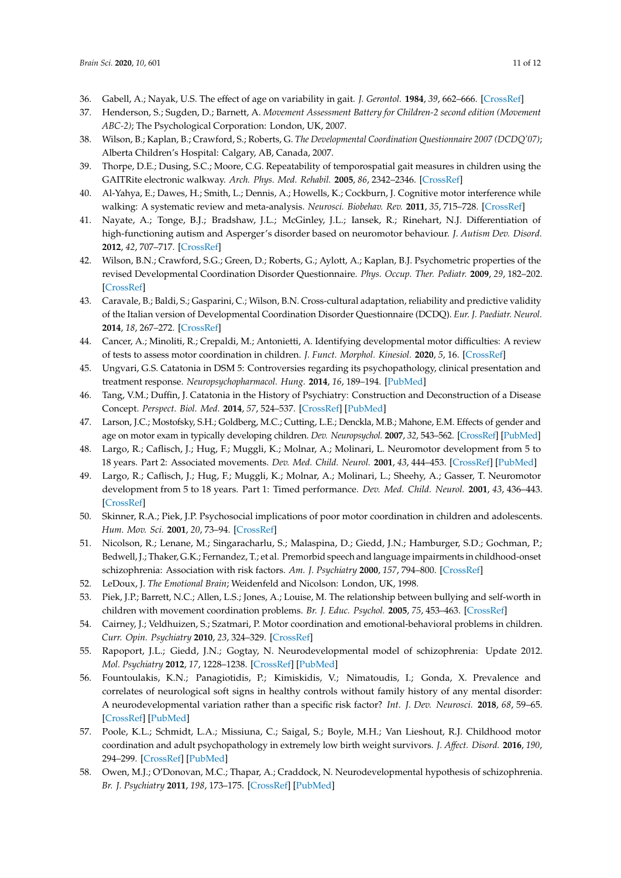- <span id="page-10-0"></span>36. Gabell, A.; Nayak, U.S. The effect of age on variability in gait. *J. Gerontol.* **1984**, *39*, 662–666. [\[CrossRef\]](http://dx.doi.org/10.1093/geronj/39.6.662)
- <span id="page-10-1"></span>37. Henderson, S.; Sugden, D.; Barnett, A. *Movement Assessment Battery for Children-2 second edition (Movement ABC-2)*; The Psychological Corporation: London, UK, 2007.
- <span id="page-10-2"></span>38. Wilson, B.; Kaplan, B.; Crawford, S.; Roberts, G. *The Developmental Coordination Questionnaire 2007 (DCDQ'07)*; Alberta Children's Hospital: Calgary, AB, Canada, 2007.
- <span id="page-10-3"></span>39. Thorpe, D.E.; Dusing, S.C.; Moore, C.G. Repeatability of temporospatial gait measures in children using the GAITRite electronic walkway. *Arch. Phys. Med. Rehabil.* **2005**, *86*, 2342–2346. [\[CrossRef\]](http://dx.doi.org/10.1016/j.apmr.2005.07.301)
- <span id="page-10-4"></span>40. Al-Yahya, E.; Dawes, H.; Smith, L.; Dennis, A.; Howells, K.; Cockburn, J. Cognitive motor interference while walking: A systematic review and meta-analysis. *Neurosci. Biobehav. Rev.* **2011**, *35*, 715–728. [\[CrossRef\]](http://dx.doi.org/10.1016/j.neubiorev.2010.08.008)
- <span id="page-10-5"></span>41. Nayate, A.; Tonge, B.J.; Bradshaw, J.L.; McGinley, J.L.; Iansek, R.; Rinehart, N.J. Differentiation of high-functioning autism and Asperger's disorder based on neuromotor behaviour. *J. Autism Dev. Disord.* **2012**, *42*, 707–717. [\[CrossRef\]](http://dx.doi.org/10.1007/s10803-011-1299-5)
- <span id="page-10-6"></span>42. Wilson, B.N.; Crawford, S.G.; Green, D.; Roberts, G.; Aylott, A.; Kaplan, B.J. Psychometric properties of the revised Developmental Coordination Disorder Questionnaire. *Phys. Occup. Ther. Pediatr.* **2009**, *29*, 182–202. [\[CrossRef\]](http://dx.doi.org/10.1080/01942630902784761)
- <span id="page-10-7"></span>43. Caravale, B.; Baldi, S.; Gasparini, C.; Wilson, B.N. Cross-cultural adaptation, reliability and predictive validity of the Italian version of Developmental Coordination Disorder Questionnaire (DCDQ). *Eur. J. Paediatr. Neurol.* **2014**, *18*, 267–272. [\[CrossRef\]](http://dx.doi.org/10.1016/j.ejpn.2013.11.009)
- <span id="page-10-8"></span>44. Cancer, A.; Minoliti, R.; Crepaldi, M.; Antonietti, A. Identifying developmental motor difficulties: A review of tests to assess motor coordination in children. *J. Funct. Morphol. Kinesiol.* **2020**, *5*, 16. [\[CrossRef\]](http://dx.doi.org/10.3390/jfmk5010016)
- <span id="page-10-9"></span>45. Ungvari, G.S. Catatonia in DSM 5: Controversies regarding its psychopathology, clinical presentation and treatment response. *Neuropsychopharmacol. Hung.* **2014**, *16*, 189–194. [\[PubMed\]](http://www.ncbi.nlm.nih.gov/pubmed/25577482)
- <span id="page-10-10"></span>46. Tang, V.M.; Duffin, J. Catatonia in the History of Psychiatry: Construction and Deconstruction of a Disease Concept. *Perspect. Biol. Med.* **2014**, *57*, 524–537. [\[CrossRef\]](http://dx.doi.org/10.1353/pbm.2014.0033) [\[PubMed\]](http://www.ncbi.nlm.nih.gov/pubmed/26497239)
- <span id="page-10-11"></span>47. Larson, J.C.; Mostofsky, S.H.; Goldberg, M.C.; Cutting, L.E.; Denckla, M.B.; Mahone, E.M. Effects of gender and age on motor exam in typically developing children. *Dev. Neuropsychol.* **2007**, *32*, 543–562. [\[CrossRef\]](http://dx.doi.org/10.1080/87565640701361013) [\[PubMed\]](http://www.ncbi.nlm.nih.gov/pubmed/17650993)
- <span id="page-10-12"></span>48. Largo, R.; Caflisch, J.; Hug, F.; Muggli, K.; Molnar, A.; Molinari, L. Neuromotor development from 5 to 18 years. Part 2: Associated movements. *Dev. Med. Child. Neurol.* **2001**, *43*, 444–453. [\[CrossRef\]](http://dx.doi.org/10.1017/S0012162201000822) [\[PubMed\]](http://www.ncbi.nlm.nih.gov/pubmed/11463174)
- <span id="page-10-13"></span>49. Largo, R.; Caflisch, J.; Hug, F.; Muggli, K.; Molnar, A.; Molinari, L.; Sheehy, A.; Gasser, T. Neuromotor development from 5 to 18 years. Part 1: Timed performance. *Dev. Med. Child. Neurol.* **2001**, *43*, 436–443. [\[CrossRef\]](http://dx.doi.org/10.1017/S0012162201000810)
- <span id="page-10-14"></span>50. Skinner, R.A.; Piek, J.P. Psychosocial implications of poor motor coordination in children and adolescents. *Hum. Mov. Sci.* **2001**, *20*, 73–94. [\[CrossRef\]](http://dx.doi.org/10.1016/S0167-9457(01)00029-X)
- <span id="page-10-15"></span>51. Nicolson, R.; Lenane, M.; Singaracharlu, S.; Malaspina, D.; Giedd, J.N.; Hamburger, S.D.; Gochman, P.; Bedwell, J.; Thaker, G.K.; Fernandez, T.; et al. Premorbid speech and language impairments in childhood-onset schizophrenia: Association with risk factors. *Am. J. Psychiatry* **2000**, *157*, 794–800. [\[CrossRef\]](http://dx.doi.org/10.1176/appi.ajp.157.5.794)
- <span id="page-10-16"></span>52. LeDoux, J. *The Emotional Brain*; Weidenfeld and Nicolson: London, UK, 1998.
- <span id="page-10-17"></span>53. Piek, J.P.; Barrett, N.C.; Allen, L.S.; Jones, A.; Louise, M. The relationship between bullying and self-worth in children with movement coordination problems. *Br. J. Educ. Psychol.* **2005**, *75*, 453–463. [\[CrossRef\]](http://dx.doi.org/10.1348/000709904X24573)
- <span id="page-10-18"></span>54. Cairney, J.; Veldhuizen, S.; Szatmari, P. Motor coordination and emotional-behavioral problems in children. *Curr. Opin. Psychiatry* **2010**, *23*, 324–329. [\[CrossRef\]](http://dx.doi.org/10.1097/YCO.0b013e32833aa0aa)
- <span id="page-10-19"></span>55. Rapoport, J.L.; Giedd, J.N.; Gogtay, N. Neurodevelopmental model of schizophrenia: Update 2012. *Mol. Psychiatry* **2012**, *17*, 1228–1238. [\[CrossRef\]](http://dx.doi.org/10.1038/mp.2012.23) [\[PubMed\]](http://www.ncbi.nlm.nih.gov/pubmed/22488257)
- <span id="page-10-20"></span>56. Fountoulakis, K.N.; Panagiotidis, P.; Kimiskidis, V.; Nimatoudis, I.; Gonda, X. Prevalence and correlates of neurological soft signs in healthy controls without family history of any mental disorder: A neurodevelopmental variation rather than a specific risk factor? *Int. J. Dev. Neurosci.* **2018**, *68*, 59–65. [\[CrossRef\]](http://dx.doi.org/10.1016/j.ijdevneu.2018.04.006) [\[PubMed\]](http://www.ncbi.nlm.nih.gov/pubmed/29705589)
- <span id="page-10-21"></span>57. Poole, K.L.; Schmidt, L.A.; Missiuna, C.; Saigal, S.; Boyle, M.H.; Van Lieshout, R.J. Childhood motor coordination and adult psychopathology in extremely low birth weight survivors. *J. A*ff*ect. Disord.* **2016**, *190*, 294–299. [\[CrossRef\]](http://dx.doi.org/10.1016/j.jad.2015.10.031) [\[PubMed\]](http://www.ncbi.nlm.nih.gov/pubmed/26544612)
- <span id="page-10-22"></span>58. Owen, M.J.; O'Donovan, M.C.; Thapar, A.; Craddock, N. Neurodevelopmental hypothesis of schizophrenia. *Br. J. Psychiatry* **2011**, *198*, 173–175. [\[CrossRef\]](http://dx.doi.org/10.1192/bjp.bp.110.084384) [\[PubMed\]](http://www.ncbi.nlm.nih.gov/pubmed/21357874)